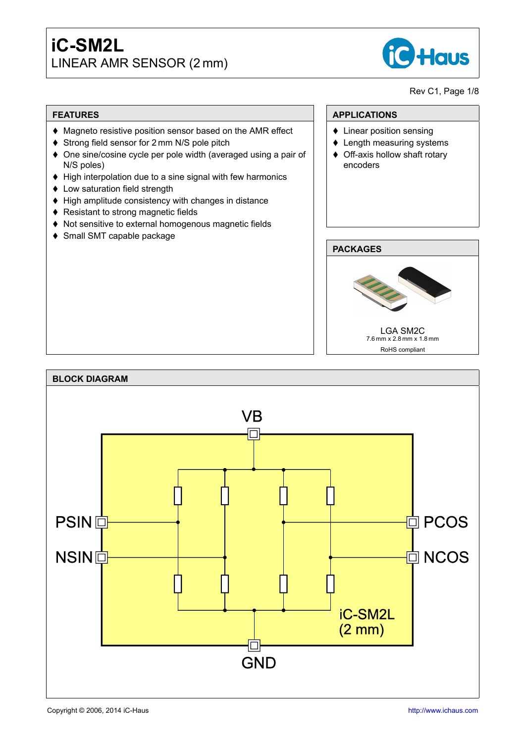# **iC-SM2L** LINEAR AMR SENSOR (2 mm)



### Rev C1, Page 1[/8](#page-6-0)

### **FEATURES**

- ♦ Magneto resistive position sensor based on the AMR effect
- ♦ Strong field sensor for 2 mm N/S pole pitch
- $\triangle$  One sine/cosine cycle per pole width (averaged using a pair of N/S poles)
- $\blacklozenge$  High interpolation due to a sine signal with few harmonics
- Low saturation field strength
- $\blacklozenge$  High amplitude consistency with changes in distance
- ♦ Resistant to strong magnetic fields
- ♦ Not sensitive to external homogenous magnetic fields
- ◆ Small SMT capable package

## **APPLICATIONS**

- $\triangleleft$  Linear position sensing
- $\triangle$  Length measuring systems
- $\triangleleft$  Off-axis hollow shaft rotary encoders

## **PACKAGES**



RoHS compliant

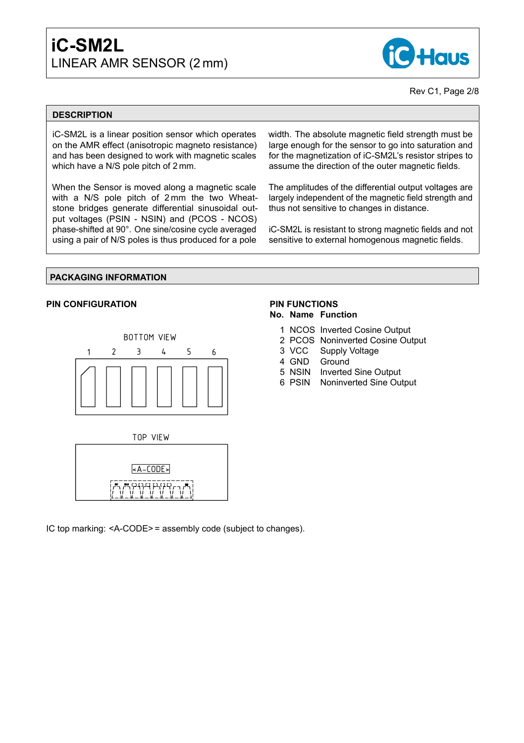## **iC-SM2L** LINEAR AMR SENSOR (2 mm)



#### Rev C1, Page 2[/8](#page-6-0)

#### **DESCRIPTION**

iC-SM2L is a linear position sensor which operates on the AMR effect (anisotropic magneto resistance) and has been designed to work with magnetic scales which have a N/S pole pitch of 2 mm.

When the Sensor is moved along a magnetic scale with a N/S pole pitch of 2 mm the two Wheatstone bridges generate differential sinusoidal output voltages (PSIN - NSIN) and (PCOS - NCOS) phase-shifted at 90°. One sine/cosine cycle averaged using a pair of N/S poles is thus produced for a pole

width. The absolute magnetic field strength must be large enough for the sensor to go into saturation and for the magnetization of iC-SM2L's resistor stripes to assume the direction of the outer magnetic fields.

The amplitudes of the differential output voltages are largely independent of the magnetic field strength and thus not sensitive to changes in distance.

iC-SM2L is resistant to strong magnetic fields and not sensitive to external homogenous magnetic fields.

#### **PACKAGING INFORMATION**

#### **PIN CONFIGURATION**





#### **PIN FUNCTIONS No. Name Function**

- 1 NCOS Inverted Cosine Output
- 2 PCOS Noninverted Cosine Output
- 3 VCC Supply Voltage
- 4 GND Ground
- 5 NSIN Inverted Sine Output
- 6 PSIN Noninverted Sine Output

IC top marking: <A-CODE> = assembly code (subject to changes).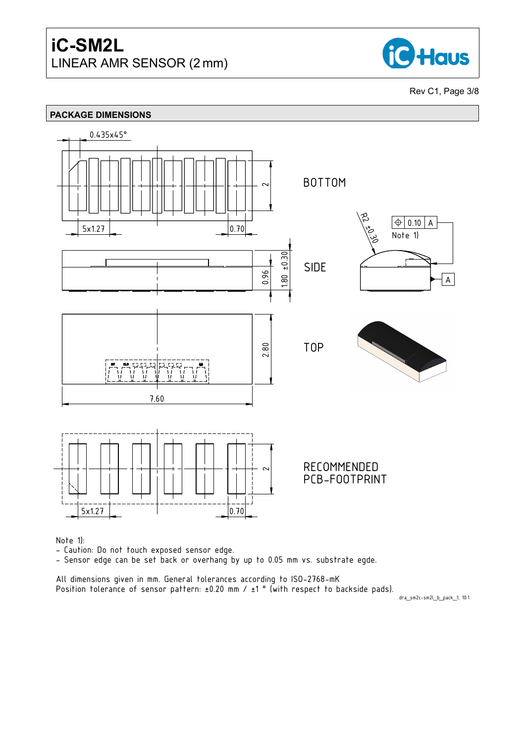

Rev C1, Page 3[/8](#page-6-0)



- Caution: Do not touch exposed sensor edge.

- Sensor edge can be set back or overhang by up to 0.05 mm vs. substrate egde.

All dimensions given in mm. General tolerances according to ISO-2768-mK Position tolerance of sensor pattern:  $\pm 0.20$  mm /  $\pm 1$   $^{\circ}$  (with respect to backside pads).

dra\_sm2c-sm2l\_b\_pack\_1, 10:1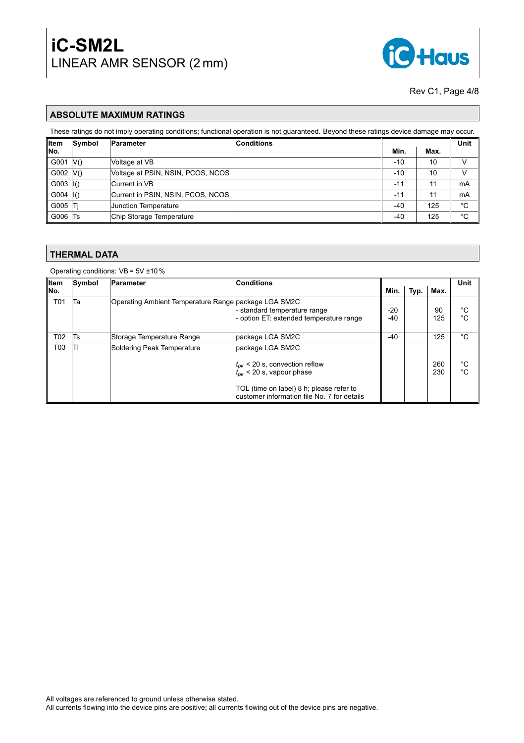

#### Rev C1, Page 4[/8](#page-6-0)

#### **ABSOLUTE MAXIMUM RATINGS**

These ratings do not imply operating conditions; functional operation is not guaranteed. Beyond these ratings device damage may occur.

| ∥Item         | Symbol | Parameter                         | <b>Conditions</b> |               |      | Unit |
|---------------|--------|-----------------------------------|-------------------|---------------|------|------|
| ∥No.          |        |                                   |                   | Min.          | Max. |      |
| G001          | V()    | Voltage at VB                     |                   | $-10$         | 10   |      |
| G002  V()     |        | Voltage at PSIN, NSIN, PCOS, NCOS |                   | $-10$         | 10   |      |
| $G003$  I()   |        | Current in VB                     |                   | $-12$         |      | mA   |
| $G004$ $ 1()$ |        | Current in PSIN, NSIN, PCOS, NCOS |                   | $-1^{\prime}$ |      | mA   |
| G005          | Τi     | Junction Temperature              |                   | -40           | 125  | °C   |
| G006          | Ts     | Chip Storage Temperature          |                   | -40           | 125  | °C   |

#### **THERMAL DATA**

Operating conditions: VB = 5V ±10 %

| ∥Item            | Symbol | Parameter                                            | <b>Conditions</b>                                                                       |                |      | Unit       |                   |
|------------------|--------|------------------------------------------------------|-----------------------------------------------------------------------------------------|----------------|------|------------|-------------------|
| ∥No.             |        |                                                      |                                                                                         | Min.           | Typ. | Max.       |                   |
| T <sub>0</sub> 1 | Ta     | Operating Ambient Temperature Range package LGA SM2C | - standard temperature range<br>- option ET: extended temperature range                 | $-20$<br>$-40$ |      | 90<br>125  | °C<br>$^{\circ}C$ |
| T <sub>02</sub>  | Ts     | Storage Temperature Range                            | package LGA SM2C                                                                        | $-40$          |      | 125        | °C                |
| T <sub>03</sub>  | TI     | Soldering Peak Temperature                           | package LGA SM2C                                                                        |                |      |            |                   |
|                  |        |                                                      | $ t_{pk}$ < 20 s, convection reflow<br>$t_{pk}$ < 20 s, vapour phase                    |                |      | 260<br>230 | °C<br>$^{\circ}C$ |
|                  |        |                                                      | TOL (time on label) 8 h; please refer to<br>customer information file No. 7 for details |                |      |            |                   |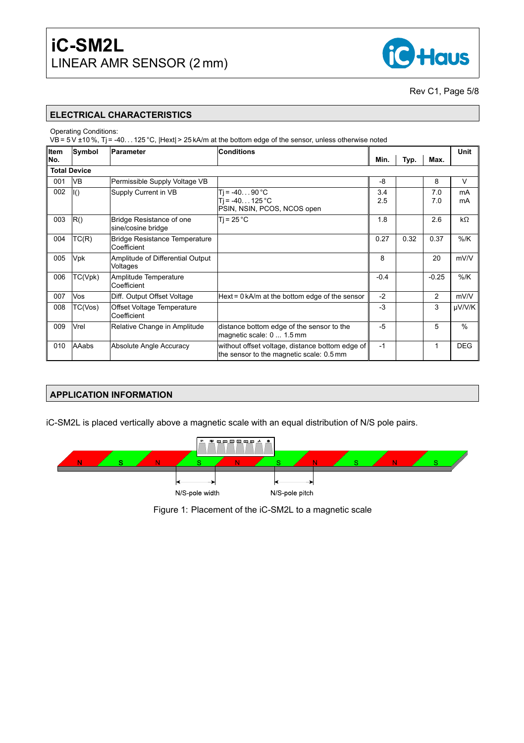

Rev C1, Page 5[/8](#page-6-0)

#### **ELECTRICAL CHARACTERISTICS**

Operating Conditions:

VB = 5 V ±10 %, Tj = -40. . . 125 °C, |Hext| > 25 kA/m at the bottom edge of the sensor, unless otherwise noted

| ∥Item | Symbol              | <b>Parameter</b>                                    | <b>Conditions</b>                                                                           |            |      |            | Unit          |
|-------|---------------------|-----------------------------------------------------|---------------------------------------------------------------------------------------------|------------|------|------------|---------------|
| ∣No.  |                     |                                                     |                                                                                             | Min.       | Typ. | Max.       |               |
|       | <b>Total Device</b> |                                                     |                                                                                             |            |      |            |               |
| 001   | <b>VB</b>           | Permissible Supply Voltage VB                       |                                                                                             | $-8$       |      | 8          | $\vee$        |
| 002   | $\vert$ I()         | Supply Current in VB                                | $T$ j = -4090 °C<br>$Ti = -40125 °C$<br>PSIN, NSIN, PCOS, NCOS open                         | 3.4<br>2.5 |      | 7.0<br>7.0 | mA<br>mA      |
| 003   | R()                 | Bridge Resistance of one<br>sine/cosine bridge      | $Ti = 25 °C$                                                                                | 1.8        |      | 2.6        | $k\Omega$     |
| 004   | TC(R)               | <b>Bridge Resistance Temperature</b><br>Coefficient |                                                                                             | 0.27       | 0.32 | 0.37       | $%$ /K        |
| 005   | Vpk                 | Amplitude of Differential Output<br>Voltages        |                                                                                             | 8          |      | 20         | mV/V          |
| 006   | TC(Vpk)             | Amplitude Temperature<br>Coefficient                |                                                                                             | $-0.4$     |      | $-0.25$    | $%$ /K        |
| 007   | Vos                 | Diff. Output Offset Voltage                         | Hext = $0 \text{ kA/m}$ at the bottom edge of the sensor                                    | $-2$       |      | 2          | mV/V          |
| 008   | TC(Vos)             | Offset Voltage Temperature<br>Coefficient           |                                                                                             | $-3$       |      | 3          | µV/V/K        |
| 009   | Vrel                | Relative Change in Amplitude                        | distance bottom edge of the sensor to the<br>magnetic scale: 0  1.5 mm                      | $-5$       |      | 5          | $\frac{0}{0}$ |
| 010   | <b>AAabs</b>        | Absolute Angle Accuracy                             | without offset voltage, distance bottom edge of<br>the sensor to the magnetic scale: 0.5 mm | $-1$       |      | 1          | <b>DEG</b>    |

#### **APPLICATION INFORMATION**

iC-SM2L is placed vertically above a magnetic scale with an equal distribution of N/S pole pairs.



Figure 1: Placement of the iC-SM2L to a magnetic scale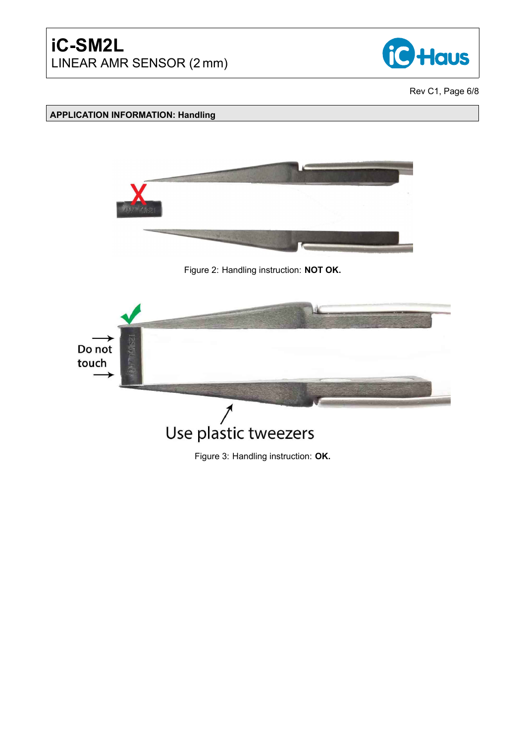

Rev C1, Page 6[/8](#page-6-0)

## **APPLICATION INFORMATION: Handling**



Figure 2: Handling instruction: **NOT OK.**



Figure 3: Handling instruction: **OK.**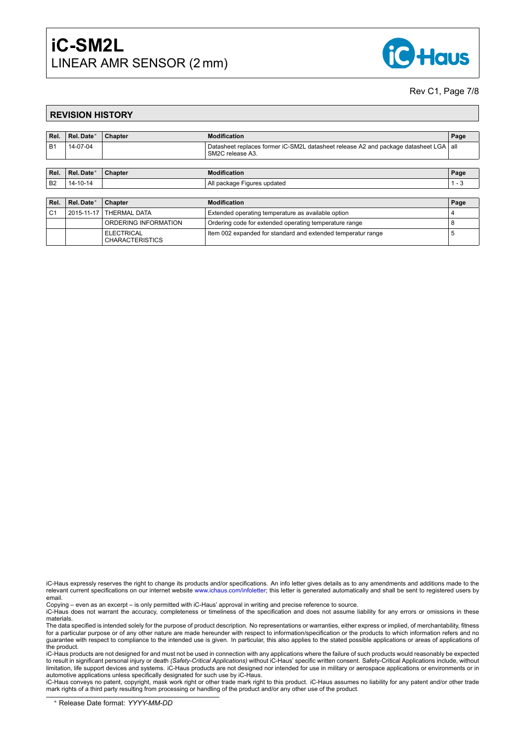## **iC-SM2L** LINEAR AMR SENSOR (2 mm)



#### Rev C1, Page 7[/8](#page-6-0)

#### <span id="page-6-0"></span>**REVISION HISTORY**

| Rel.           | Rel. Date* | Chapter                                     | <b>Modification</b>                                                                                                            | Page    |
|----------------|------------|---------------------------------------------|--------------------------------------------------------------------------------------------------------------------------------|---------|
| <b>B1</b>      | 14-07-04   |                                             | Datasheet replaces former iC-SM2L datasheet release A2 and package datasheet LGA<br>SM <sub>2</sub> C release A <sub>3</sub> . | all     |
|                |            |                                             |                                                                                                                                |         |
| Rel.           | Rel. Date* | Chapter                                     | <b>Modification</b>                                                                                                            | Page    |
| B <sub>2</sub> | 14-10-14   |                                             | All package Figures updated                                                                                                    | $1 - 3$ |
|                |            |                                             |                                                                                                                                |         |
| Rel.           | Rel. Date* | Chapter                                     | <b>Modification</b>                                                                                                            | Page    |
| C <sub>1</sub> | 2015-11-17 | <b>THERMAL DATA</b>                         | Extended operating temperature as available option                                                                             | 4       |
|                |            | ORDERING INFORMATION                        | Ordering code for extended operating temperature range                                                                         | 8       |
|                |            | <b>ELECTRICAL</b><br><b>CHARACTERISTICS</b> | Item 002 expanded for standard and extended temperatur range                                                                   | 5       |

iC-Haus expressly reserves the right to change its products and/or specifications. An info letter gives details as to any amendments and additions made to the relevant current specifications on our internet website [www.ichaus.com/infoletter;](http://www.ichaus.com/infoletter) this letter is generated automatically and shall be sent to registered users by email.

Copying – even as an excerpt – is only permitted with iC-Haus' approval in writing and precise reference to source.

iC-Haus does not warrant the accuracy, completeness or timeliness of the specification and does not assume liability for any errors or omissions in these materials.

The data specified is intended solely for the purpose of product description. No representations or warranties, either express or implied, of merchantability, fitness for a particular purpose or of any other nature are made hereunder with respect to information/specification or the products to which information refers and no guarantee with respect to compliance to the intended use is given. In particular, this also applies to the stated possible applications or areas of applications of the product.

iC-Haus products are not designed for and must not be used in connection with any applications where the failure of such products would reasonably be expected<br>to result in significant personal injury or death *(Safety-Crit* limitation, life support devices and systems. iC-Haus products are not designed nor intended for use in military or aerospace applications or environments or in automotive applications unless specifically designated for such use by iC-Haus.

iC-Haus conveys no patent, copyright, mask work right or other trade mark right to this product. iC-Haus assumes no liability for any patent and/or other trade mark rights of a third party resulting from processing or handling of the product and/or any other use of the product.

<sup>∗</sup> Release Date format: *YYYY-MM-DD*